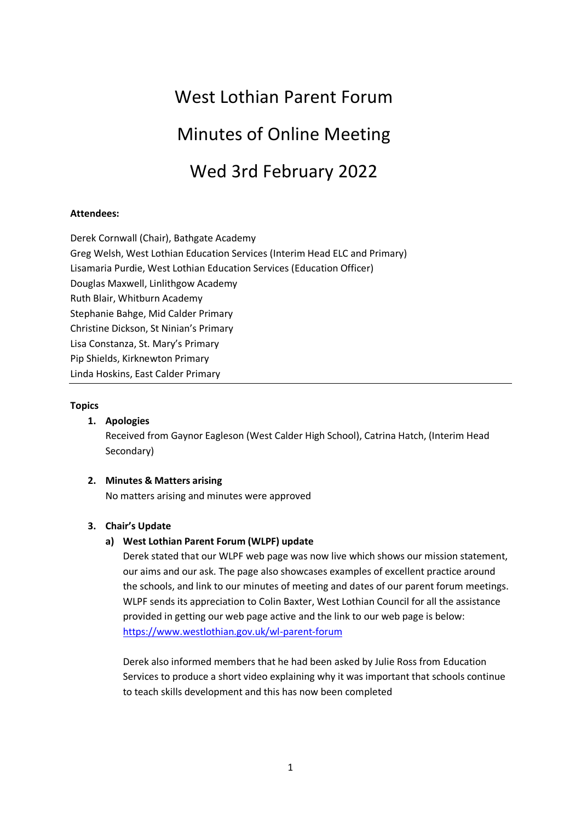# West Lothian Parent Forum

# Minutes of Online Meeting

# Wed 3rd February 2022

# **Attendees:**

Derek Cornwall (Chair), Bathgate Academy Greg Welsh, West Lothian Education Services (Interim Head ELC and Primary) Lisamaria Purdie, West Lothian Education Services (Education Officer) Douglas Maxwell, Linlithgow Academy Ruth Blair, Whitburn Academy Stephanie Bahge, Mid Calder Primary Christine Dickson, St Ninian's Primary Lisa Constanza, St. Mary's Primary Pip Shields, Kirknewton Primary Linda Hoskins, East Calder Primary

#### **Topics**

## **1. Apologies**

Received from Gaynor Eagleson (West Calder High School), Catrina Hatch, (Interim Head Secondary)

## **2. Minutes & Matters arising**

No matters arising and minutes were approved

## **3. Chair's Update**

## **a) West Lothian Parent Forum (WLPF) update**

Derek stated that our WLPF web page was now live which shows our mission statement, our aims and our ask. The page also showcases examples of excellent practice around the schools, and link to our minutes of meeting and dates of our parent forum meetings. WLPF sends its appreciation to Colin Baxter, West Lothian Council for all the assistance provided in getting our web page active and the link to our web page is below: <https://www.westlothian.gov.uk/wl-parent-forum>

Derek also informed members that he had been asked by Julie Ross from Education Services to produce a short video explaining why it was important that schools continue to teach skills development and this has now been completed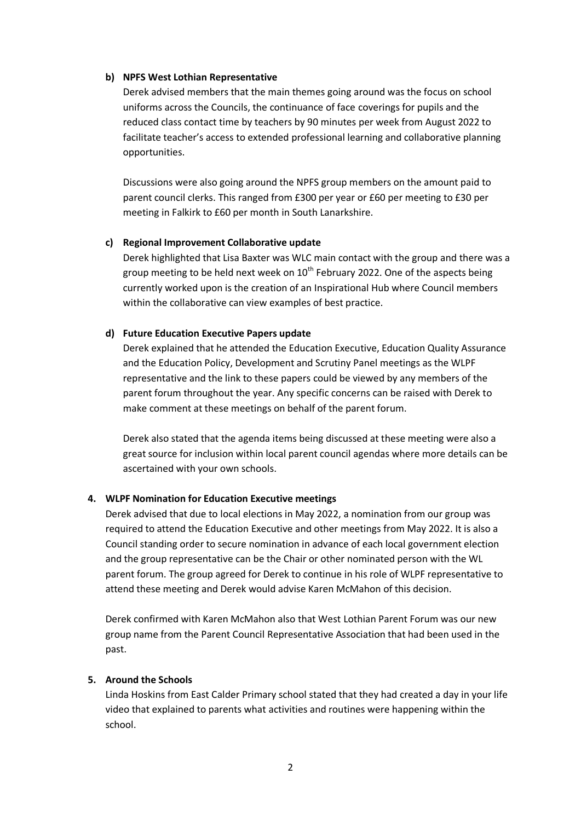#### **b) NPFS West Lothian Representative**

Derek advised members that the main themes going around was the focus on school uniforms across the Councils, the continuance of face coverings for pupils and the reduced class contact time by teachers by 90 minutes per week from August 2022 to facilitate teacher's access to extended professional learning and collaborative planning opportunities.

Discussions were also going around the NPFS group members on the amount paid to parent council clerks. This ranged from £300 per year or £60 per meeting to £30 per meeting in Falkirk to £60 per month in South Lanarkshire.

#### **c) Regional Improvement Collaborative update**

Derek highlighted that Lisa Baxter was WLC main contact with the group and there was a group meeting to be held next week on  $10<sup>th</sup>$  February 2022. One of the aspects being currently worked upon is the creation of an Inspirational Hub where Council members within the collaborative can view examples of best practice.

#### **d) Future Education Executive Papers update**

Derek explained that he attended the Education Executive, Education Quality Assurance and the Education Policy, Development and Scrutiny Panel meetings as the WLPF representative and the link to these papers could be viewed by any members of the parent forum throughout the year. Any specific concerns can be raised with Derek to make comment at these meetings on behalf of the parent forum.

Derek also stated that the agenda items being discussed at these meeting were also a great source for inclusion within local parent council agendas where more details can be ascertained with your own schools.

## **4. WLPF Nomination for Education Executive meetings**

Derek advised that due to local elections in May 2022, a nomination from our group was required to attend the Education Executive and other meetings from May 2022. It is also a Council standing order to secure nomination in advance of each local government election and the group representative can be the Chair or other nominated person with the WL parent forum. The group agreed for Derek to continue in his role of WLPF representative to attend these meeting and Derek would advise Karen McMahon of this decision.

Derek confirmed with Karen McMahon also that West Lothian Parent Forum was our new group name from the Parent Council Representative Association that had been used in the past.

#### **5. Around the Schools**

Linda Hoskins from East Calder Primary school stated that they had created a day in your life video that explained to parents what activities and routines were happening within the school.